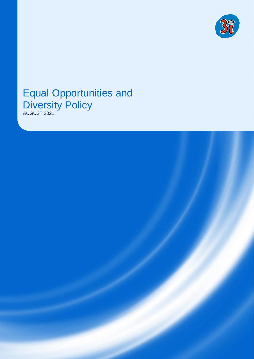

# Equal Opportunities and Diversity Policy



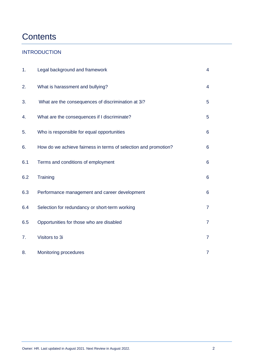# **Contents**

#### **INTRODUCTION**

| 1.  | Legal background and framework                                  | $\overline{4}$ |
|-----|-----------------------------------------------------------------|----------------|
| 2.  | What is harassment and bullying?                                | $\overline{4}$ |
| 3.  | What are the consequences of discrimination at 3i?              | 5              |
| 4.  | What are the consequences if I discriminate?                    | 5              |
| 5.  | Who is responsible for equal opportunities                      | $6\phantom{1}$ |
| 6.  | How do we achieve fairness in terms of selection and promotion? | $6\phantom{1}$ |
| 6.1 | Terms and conditions of employment                              | $6\phantom{a}$ |
| 6.2 | Training                                                        | $6\phantom{a}$ |
| 6.3 | Performance management and career development                   | $6\phantom{a}$ |
| 6.4 | Selection for redundancy or short-term working                  | $\overline{7}$ |
| 6.5 | Opportunities for those who are disabled                        | $\overline{7}$ |
| 7.  | Visitors to 3i                                                  | $\overline{7}$ |
| 8.  | Monitoring procedures                                           | $\overline{7}$ |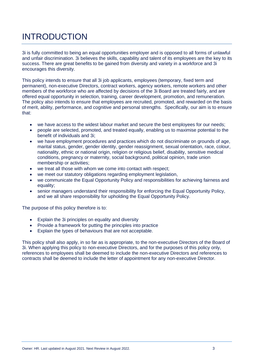# INTRODUCTION

3i is fully committed to being an equal opportunities employer and is opposed to all forms of unlawful and unfair discrimination. 3i believes the skills, capability and talent of its employees are the key to its success. There are great benefits to be gained from diversity and variety in a workforce and 3i encourages this diversity.

This policy intends to ensure that all 3i job applicants, employees (temporary, fixed term and permanent), non-executive Directors, contract workers, agency workers, remote workers and other members of the workforce who are affected by decisions of the 3i Board are treated fairly, and are offered equal opportunity in selection, training, career development, promotion, and remuneration. The policy also intends to ensure that employees are recruited, promoted, and rewarded on the basis of merit, ability, performance, and cognitive and personal strengths. Specifically, our aim is to ensure that:

- we have access to the widest labour market and secure the best employees for our needs;
- people are selected, promoted, and treated equally, enabling us to maximise potential to the benefit of individuals and 3i;
- we have employment procedures and practices which do not discriminate on grounds of age, marital status, gender, gender identity, gender reassignment, sexual orientation, race, colour, nationality, ethnic or national origin, religion or religious belief, disability, sensitive medical conditions, pregnancy or maternity, social background, political opinion, trade union membership or activities;
- we treat all those with whom we come into contact with respect:
- we meet our statutory obligations regarding employment legislation,
- we communicate the Equal Opportunity Policy and responsibilities for achieving fairness and equality;
- senior managers understand their responsibility for enforcing the Equal Opportunity Policy, and we all share responsibility for upholding the Equal Opportunity Policy.

The purpose of this policy therefore is to:

- Explain the 3i principles on equality and diversity
- Provide a framework for putting the principles into practice
- Explain the types of behaviours that are not acceptable.

This policy shall also apply, in so far as is appropriate, to the non-executive Directors of the Board of 3i. When applying this policy to non-executive Directors, and for the purposes of this policy only, references to employees shall be deemed to include the non-executive Directors and references to contracts shall be deemed to include the letter of appointment for any non-executive Director.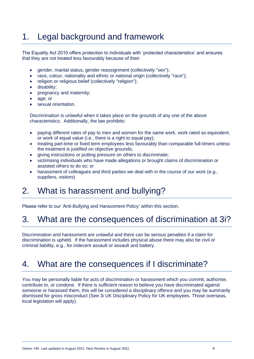## 1. Legal background and framework

The Equality Act 2010 offers protection to individuals with 'protected characteristics' and ensures that they are not treated less favourably because of their:

- gender, marital status, gender reassignment (collectively "sex");
- race, colour, nationality and ethnic or national origin (collectively "race");
- religion or religious belief (collectively "religion");
- disability;
- pregnancy and maternity;
- age; or
- sexual orientation.

Discrimination is unlawful when it takes place on the grounds of any one of the above characteristics. Additionally, the law prohibits:

- paying different rates of pay to men and women for the same work, work rated as equivalent, or work of equal value (i.e., there is a right to equal pay);
- treating part-time or fixed term employees less favourably than comparable full-timers unless the treatment is justified on objective grounds;
- giving instructions or putting pressure on others to discriminate;
- victimising individuals who have made allegations or brought claims of discrimination or assisted others to do so; or
- harassment of colleagues and third parties we deal with in the course of our work (e.g., suppliers, visitors)

### 2. What is harassment and bullying?

Please refer to our 'Anti-Bullying and Harassment Policy' within this section.

#### 3. What are the consequences of discrimination at 3i?

Discrimination and harassment are unlawful and there can be serious penalties if a claim for discrimination is upheld. If the harassment includes physical abuse there may also be civil or criminal liability, e.g., for indecent assault or assault and battery.

### 4. What are the consequences if I discriminate?

You may be personally liable for acts of discrimination or harassment which you commit, authorise, contribute to, or condone. If there is sufficient reason to believe you have discriminated against someone or harassed them, this will be considered a disciplinary offence and you may be summarily dismissed for gross misconduct (See 3i UK Disciplinary Policy for UK employees. Those overseas, local legislation will apply).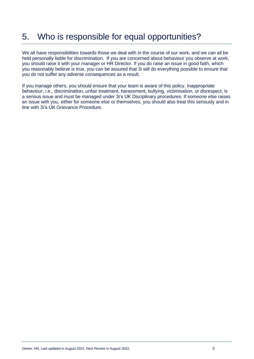# 5. Who is responsible for equal opportunities?

We all have responsibilities towards those we deal with in the course of our work, and we can all be held personally liable for discrimination. If you are concerned about behaviour you observe at work, you should raise it with your manager or HR Director. If you do raise an issue in good faith, which you reasonably believe is true, you can be assured that 3i will do everything possible to ensure that you do not suffer any adverse consequences as a result.

If you manage others, you should ensure that your team is aware of this policy. Inappropriate behaviour, i.e., discrimination, unfair treatment, harassment, bullying, victimisation, or disrespect, is a serious issue and must be managed under 3i's UK Disciplinary procedures. If someone else raises an issue with you, either for someone else or themselves, you should also treat this seriously and in line with 3i's UK Grievance Procedure.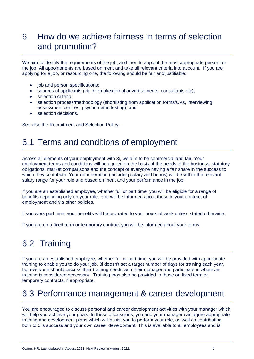### 6. How do we achieve fairness in terms of selection and promotion?

We aim to identify the requirements of the job, and then to appoint the most appropriate person for the job. All appointments are based on merit and take all relevant criteria into account. If you are applying for a job, or resourcing one, the following should be fair and justifiable:

- iob and person specifications:
- sources of applicants (via internal/external advertisements, consultants etc);
- selection criteria:
- selection process/methodology (shortlisting from application forms/CVs, interviewing, assessment centres, psychometric testing); and
- selection decisions.

See also the Recruitment and Selection Policy.

#### 6.1 Terms and conditions of employment

Across all elements of your employment with 3i, we aim to be commercial and fair. Your employment terms and conditions will be agreed on the basis of the needs of the business, statutory obligations, market comparisons and the concept of everyone having a fair share in the success to which they contribute. Your remuneration (including salary and bonus) will be within the relevant salary range for your role and based on merit and your performance in the job.

If you are an established employee, whether full or part time, you will be eligible for a range of benefits depending only on your role. You will be informed about these in your contract of employment and via other policies.

If you work part time, your benefits will be pro-rated to your hours of work unless stated otherwise.

If you are on a fixed term or temporary contract you will be informed about your terms.

### 6.2 Training

If you are an established employee, whether full or part time, you will be provided with appropriate training to enable you to do your job. 3i doesn't set a target number of days for training each year, but everyone should discuss their training needs with their manager and participate in whatever training is considered necessary. Training may also be provided to those on fixed term or temporary contracts, if appropriate.

#### 6.3 Performance management & career development

You are encouraged to discuss personal and career development activities with your manager which will help you achieve your goals. In these discussions, you and your manager can agree appropriate training and development plans which will assist you to perform your role, as well as contributing both to 3i's success and your own career development. This is available to all employees and is